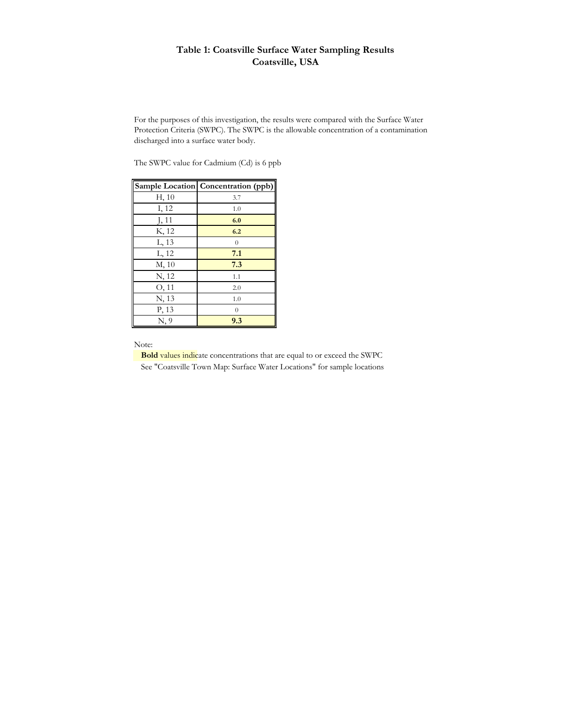## **Table 1: Coatsville Surface Water Sampling Results Coatsville, USA**

For the purposes of this investigation, the results were compared with the Surface Water Protection Criteria (SWPC). The SWPC is the allowable concentration of a contamination discharged into a surface water body.

The SWPC value for Cadmium (Cd) is 6 ppb

|       | Sample Location Concentration (ppb) |
|-------|-------------------------------------|
| H, 10 | 3.7                                 |
| I, 12 | 1.0                                 |
| J, 11 | 6.0                                 |
| K, 12 | 6.2                                 |
| L, 13 | $\theta$                            |
| L, 12 | 7.1                                 |
| M, 10 | 7.3                                 |
| N, 12 | 1.1                                 |
| O, 11 | 2.0                                 |
| N, 13 | 1.0                                 |
| P, 13 | $\overline{0}$                      |
| N, 9  | 9.3                                 |

Note:

**Bold** values indicate concentrations that are equal to or exceed the SWPC

See "Coatsville Town Map: Surface Water Locations" for sample locations